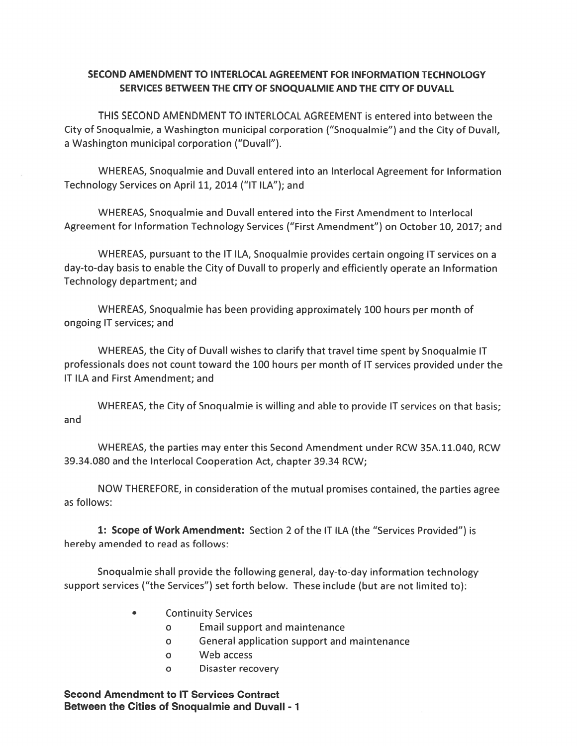## SECOND AMENDMENT TO INTERLOCAL AGREEMENT FOR INFORMATION TECHNOLOGY SERVICES BETWEEN THE CITY OF SNOQUALMIE AND THE CITY OF DUVALL

THIS SECOND AMENDMENT TO INTERLOCAL AGREEMENT is entered into between the City of Snoqualmie, <sup>a</sup> Washington municipal corporation ("Snoqualmie") and the City of Duvall, <sup>a</sup> Washington municipal corporation ("Duvall").

WHEREAS, Snoqualmie and Duvall entered into an Interlocal Agreement for Information Technology Services on April 11, 2014 ("II ILA"); and

WHEREAS, Snoqualmie and Duvall entered into the First Amendment to Interlocal Agreement for Information Technology Services ("First Amendment") on October 10, 2017; and

WHEREAS, pursuan<sup>t</sup> to the IT ILA, Snoqualmie provides certain ongoing IT services on <sup>a</sup> day-to-day basis to enable the City of Duvall to properly and efficiently operate an Information Technology department; and

WHEREAS, Snoqualmie has been providing approximately 100 hours per month of ongoing IT services; and

WHEREAS, the City of Duvall wishes to clarify that travel time spen<sup>t</sup> by Snoqualmie IT professionals does not count toward the 100 hours per month of IT services provided under the IT ILA and First Amendment; and

WHEREAS, the City of Snoqualmie is willing and able to provide IT services on that basis; and

WHEREAS, the parties may enter this Second Amendment under RCW 35A.11.040, RCW 39.34.080 and the Interlocal Cooperation Act, chapter 39.34 RCW;

NOW THEREFORE, in consideration of the mutual promises contained, the parties agree as follows:

1: Scope of Work Amendment: Section 2 of the IT ILA (the "Services Provided") is hereby amended to read as follows:

Snoqualmie shall provide the following general, day-to-day information technology suppor<sup>t</sup> services ("the Services") set forth below. These include (but are not limited to):

- . Continuity Services
	- <sup>0</sup> Email suppor<sup>t</sup> and maintenance
	- <sup>0</sup> General application suppor<sup>t</sup> and maintenance
	- 0 Web access
	- <sup>0</sup> Disaster recovery

Second Amendment to IT Services Contract Between the Cities of Snoqualmie and Duvall - 1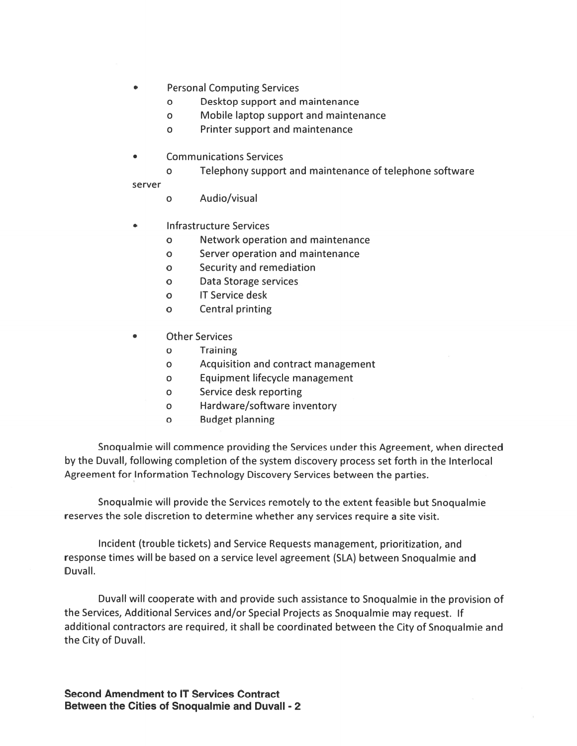- **Personal Computing Services**  $\bullet$ 
	- $\Omega$ Desktop support and maintenance
	- Mobile laptop support and maintenance  $\mathbf{o}$
	- Printer support and maintenance  $\mathbf{o}$
- **Communications Services** 
	- Telephony support and maintenance of telephone software  $\mathbf{o}$

server

- Audio/visual  $\mathbf{o}$
- **Infrastructure Services**  $\bullet$ 
	- Network operation and maintenance  $\mathbf{o}$
	- Server operation and maintenance  $\mathbf{o}$
	- Security and remediation  $\mathbf{o}$
	- Data Storage services  $\mathbf{o}$
	- **IT Service desk**  $\mathbf{o}$
	- $\mathbf{o}$ Central printing
- **Other Services**  $\bullet$ 
	- **Training**  $\Omega$
	- Acquisition and contract management  $\mathbf{o}$
	- Equipment lifecycle management  $\mathbf{o}$
	- Service desk reporting  $\mathsf{o}$
	- $\mathbf{o}$ Hardware/software inventory
	- $\mathbf{o}$ **Budget planning**

Snoqualmie will commence providing the Services under this Agreement, when directed by the Duvall, following completion of the system discovery process set forth in the Interlocal Agreement for Information Technology Discovery Services between the parties.

Snoqualmie will provide the Services remotely to the extent feasible but Snoqualmie reserves the sole discretion to determine whether any services require a site visit.

Incident (trouble tickets) and Service Requests management, prioritization, and response times will be based on a service level agreement (SLA) between Snoqualmie and Duvall.

Duvall will cooperate with and provide such assistance to Snoqualmie in the provision of the Services, Additional Services and/or Special Projects as Snoqualmie may request. If additional contractors are required, it shall be coordinated between the City of Snoqualmie and the City of Duvall.